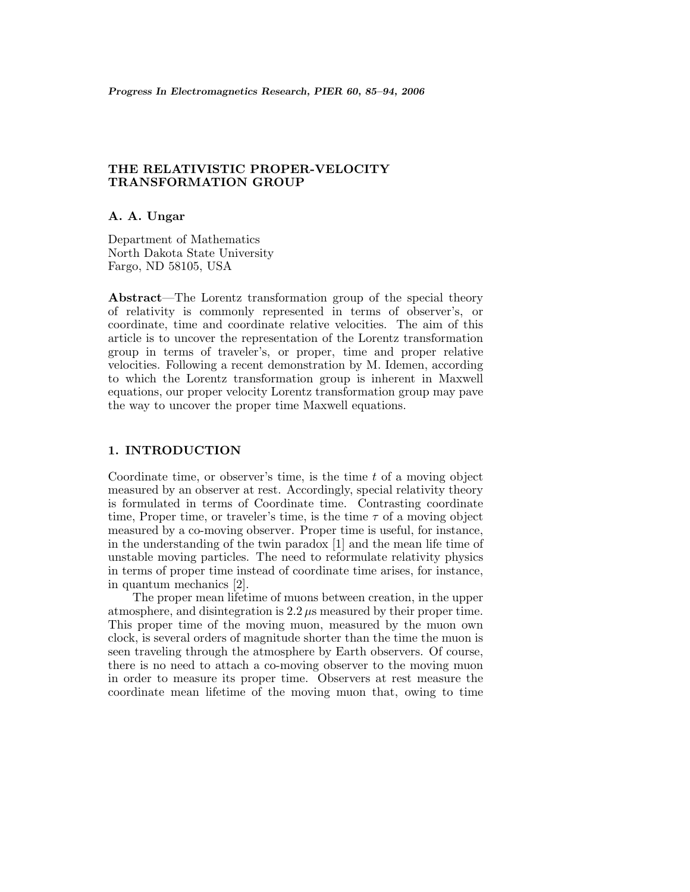# **THE RELATIVISTIC PROPER-VELOCITY TRANSFORMATION GROUP**

**A. A. Ungar**

Department of Mathematics North Dakota State University Fargo, ND 58105, USA

**Abstract**—The Lorentz transformation group of the special theory of relativity is commonly represented in terms of observer's, or coordinate, time and coordinate relative velocities. The aim of this article is to uncover the representation of the Lorentz transformation group in terms of traveler's, or proper, time and proper relative velocities. Following a recent demonstration by M. Idemen, according to which the Lorentz transformation group is inherent in Maxwell equations, our proper velocity Lorentz transformation group may pave the way to uncover the proper time Maxwell equations.

### **1. INTRODUCTION**

Coordinate time, or observer's time, is the time  $t$  of a moving object measured by an observer at rest. Accordingly, special relativity theory is formulated in terms of Coordinate time. Contrasting coordinate time, Proper time, or traveler's time, is the time  $\tau$  of a moving object measured by a co-moving observer. Proper time is useful, for instance, in the understanding of the twin paradox [1] and the mean life time of unstable moving particles. The need to reformulate relativity physics in terms of proper time instead of coordinate time arises, for instance, in quantum mechanics [2].

The proper mean lifetime of muons between creation, in the upper atmosphere, and disintegration is  $2.2 \mu s$  measured by their proper time. This proper time of the moving muon, measured by the muon own clock, is several orders of magnitude shorter than the time the muon is seen traveling through the atmosphere by Earth observers. Of course, there is no need to attach a co-moving observer to the moving muon in order to measure its proper time. Observers at rest measure the coordinate mean lifetime of the moving muon that, owing to time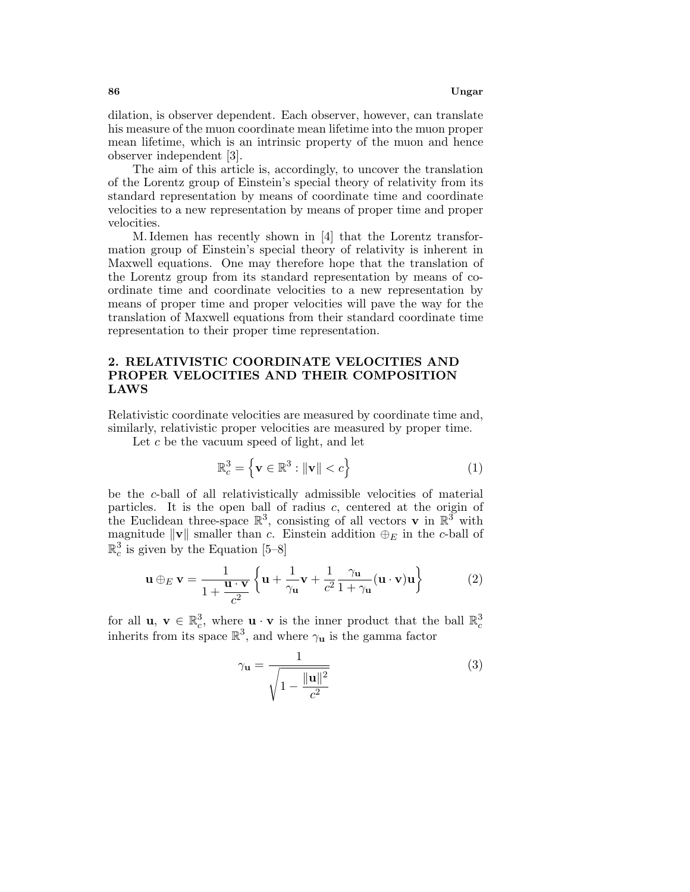dilation, is observer dependent. Each observer, however, can translate his measure of the muon coordinate mean lifetime into the muon proper mean lifetime, which is an intrinsic property of the muon and hence observer independent [3].

The aim of this article is, accordingly, to uncover the translation of the Lorentz group of Einstein's special theory of relativity from its standard representation by means of coordinate time and coordinate velocities to a new representation by means of proper time and proper velocities.

M. Idemen has recently shown in [4] that the Lorentz transformation group of Einstein's special theory of relativity is inherent in Maxwell equations. One may therefore hope that the translation of the Lorentz group from its standard representation by means of coordinate time and coordinate velocities to a new representation by means of proper time and proper velocities will pave the way for the translation of Maxwell equations from their standard coordinate time representation to their proper time representation.

## **2. RELATIVISTIC COORDINATE VELOCITIES AND PROPER VELOCITIES AND THEIR COMPOSITION LAWS**

Relativistic coordinate velocities are measured by coordinate time and, similarly, relativistic proper velocities are measured by proper time.

Let c be the vacuum speed of light, and let

$$
\mathbb{R}_c^3 = \left\{ \mathbf{v} \in \mathbb{R}^3 : \|\mathbf{v}\| < c \right\} \tag{1}
$$

be the c-ball of all relativistically admissible velocities of material particles. It is the open ball of radius  $c$ , centered at the origin of the Euclidean three-space  $\mathbb{R}^3$ , consisting of all vectors **v** in  $\mathbb{R}^3$  with magnitude  $\|\mathbf{v}\|$  smaller than c. Einstein addition  $\oplus_E$  in the c-ball of  $\mathbb{R}^3_c$  is given by the Equation [5–8]

$$
\mathbf{u} \oplus_E \mathbf{v} = \frac{1}{1 + \frac{\mathbf{u} \cdot \mathbf{v}}{c^2}} \left\{ \mathbf{u} + \frac{1}{\gamma \mathbf{u}} \mathbf{v} + \frac{1}{c^2} \frac{\gamma \mathbf{u}}{1 + \gamma \mathbf{u}} (\mathbf{u} \cdot \mathbf{v}) \mathbf{u} \right\}
$$
(2)

for all **u**,  $\mathbf{v} \in \mathbb{R}_c^3$ , where  $\mathbf{u} \cdot \mathbf{v}$  is the inner product that the ball  $\mathbb{R}_c^3$  inherits from its space  $\mathbb{R}^3$ , and where  $\gamma_{\mathbf{u}}$  is the gamma factor

$$
\gamma_{\mathbf{u}} = \frac{1}{\sqrt{1 - \frac{\|\mathbf{u}\|^2}{c^2}}}
$$
(3)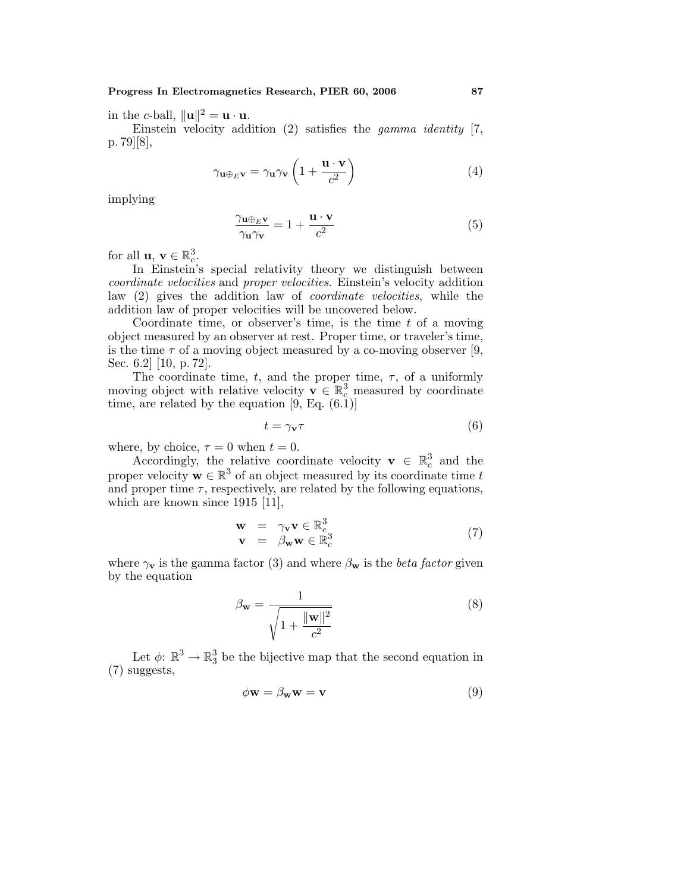in the *c*-ball,  $\|\mathbf{u}\|^2 = \mathbf{u} \cdot \mathbf{u}$ .

Einstein velocity addition  $(2)$  satisfies the *gamma identity* [7, p. 79][8],

$$
\gamma_{\mathbf{u}\oplus_E\mathbf{v}} = \gamma_{\mathbf{u}}\gamma_{\mathbf{v}}\left(1 + \frac{\mathbf{u} \cdot \mathbf{v}}{c^2}\right) \tag{4}
$$

implying

$$
\frac{\gamma_{\mathbf{u}\oplus_E\mathbf{v}}}{\gamma_{\mathbf{u}}\gamma_{\mathbf{v}}} = 1 + \frac{\mathbf{u} \cdot \mathbf{v}}{c^2}
$$
(5)

for all  $\mathbf{u}, \mathbf{v} \in \mathbb{R}^3_c$ .

In Einstein's special relativity theory we distinguish between coordinate velocities and proper velocities. Einstein's velocity addition law (2) gives the addition law of coordinate velocities, while the addition law of proper velocities will be uncovered below.

Coordinate time, or observer's time, is the time  $t$  of a moving object measured by an observer at rest. Proper time, or traveler's time, is the time  $\tau$  of a moving object measured by a co-moving observer [9, Sec. 6.2] [10, p. 72].

The coordinate time, t, and the proper time,  $\tau$ , of a uniformly moving object with relative velocity  $\mathbf{v} \in \mathbb{R}^3_c$  measured by coordinate time, are related by the equation  $[9, Eq. (6.1)]$ 

$$
t = \gamma_{\mathbf{v}} \tau \tag{6}
$$

where, by choice,  $\tau = 0$  when  $t = 0$ .

Accordingly, the relative coordinate velocity **v**  $\in \mathbb{R}^3_c$  and the proper velocity  $\mathbf{w} \in \mathbb{R}^3$  of an object measured by its coordinate time t and proper time  $\tau$ , respectively, are related by the following equations, which are known since 1915 [11],

$$
\begin{array}{rcl}\n\mathbf{w} & = & \gamma_{\mathbf{v}} \mathbf{v} \in \mathbb{R}_c^3 \\
\mathbf{v} & = & \beta_{\mathbf{w}} \mathbf{w} \in \mathbb{R}_c^3\n\end{array} \tag{7}
$$

where  $\gamma_{\mathbf{v}}$  is the gamma factor (3) and where  $\beta_{\mathbf{w}}$  is the *beta factor* given by the equation

$$
\beta_{\mathbf{w}} = \frac{1}{\sqrt{1 + \frac{\|\mathbf{w}\|^2}{c^2}}} \tag{8}
$$

Let  $\phi: \mathbb{R}^3 \to \mathbb{R}^3_3$  be the bijective map that the second equation in (7) suggests,

$$
\phi \mathbf{w} = \beta_{\mathbf{w}} \mathbf{w} = \mathbf{v} \tag{9}
$$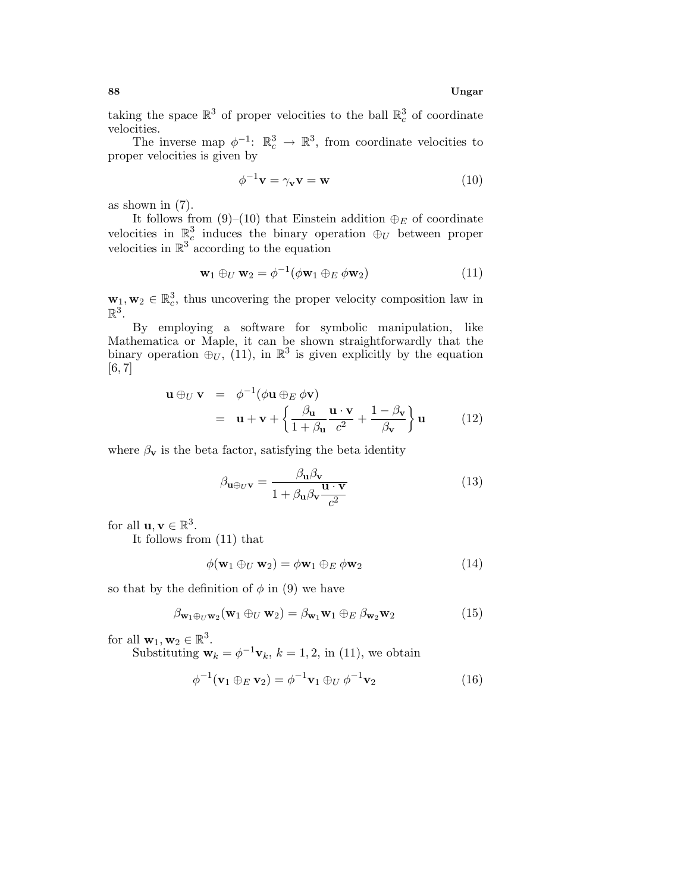taking the space  $\mathbb{R}^3$  of proper velocities to the ball  $\mathbb{R}^3_c$  of coordinate velocities.

The inverse map  $\phi^{-1}$ :  $\mathbb{R}_c^3 \to \mathbb{R}^3$ , from coordinate velocities to proper velocities is given by

$$
\phi^{-1}\mathbf{v} = \gamma_{\mathbf{v}}\mathbf{v} = \mathbf{w} \tag{10}
$$

as shown in (7).

It follows from (9)–(10) that Einstein addition  $\oplus_E$  of coordinate velocities in  $\mathbb{R}^3_c$  induces the binary operation  $\oplus_U$  between proper velocities in  $\mathbb{R}^3$  according to the equation

$$
\mathbf{w}_1 \oplus_U \mathbf{w}_2 = \phi^{-1}(\phi \mathbf{w}_1 \oplus_E \phi \mathbf{w}_2)
$$
 (11)

 $\mathbf{w}_1, \mathbf{w}_2 \in \mathbb{R}_c^3$ , thus uncovering the proper velocity composition law in  $\mathbb{R}^3$ .

By employing a software for symbolic manipulation, like Mathematica or Maple, it can be shown straightforwardly that the binary operation  $\oplus_U$ , (11), in  $\mathbb{R}^3$  is given explicitly by the equation [6, 7]

$$
\mathbf{u} \oplus_{U} \mathbf{v} = \phi^{-1}(\phi \mathbf{u} \oplus_{E} \phi \mathbf{v})
$$
  
=  $\mathbf{u} + \mathbf{v} + \left\{ \frac{\beta_{\mathbf{u}}}{1 + \beta_{\mathbf{u}}} \frac{\mathbf{u} \cdot \mathbf{v}}{c^{2}} + \frac{1 - \beta_{\mathbf{v}}}{\beta_{\mathbf{v}}} \right\} \mathbf{u}$  (12)

where  $\beta_{\mathbf{v}}$  is the beta factor, satisfying the beta identity

$$
\beta_{\mathbf{u}\oplus_{U}\mathbf{v}} = \frac{\beta_{\mathbf{u}}\beta_{\mathbf{v}}}{1 + \beta_{\mathbf{u}}\beta_{\mathbf{v}}\frac{\mathbf{u}\cdot\mathbf{v}}{c^2}}
$$
(13)

for all  $\mathbf{u}, \mathbf{v} \in \mathbb{R}^3$ .

It follows from (11) that

$$
\phi(\mathbf{w}_1 \oplus_U \mathbf{w}_2) = \phi \mathbf{w}_1 \oplus_E \phi \mathbf{w}_2 \tag{14}
$$

so that by the definition of  $\phi$  in (9) we have

$$
\beta_{\mathbf{w}_1 \oplus_U \mathbf{w}_2}(\mathbf{w}_1 \oplus_U \mathbf{w}_2) = \beta_{\mathbf{w}_1} \mathbf{w}_1 \oplus_E \beta_{\mathbf{w}_2} \mathbf{w}_2 \tag{15}
$$

for all  $\mathbf{w}_1, \mathbf{w}_2 \in \mathbb{R}^3$ .

Substituting  $\mathbf{w}_k = \phi^{-1} \mathbf{v}_k$ ,  $k = 1, 2$ , in (11), we obtain

$$
\phi^{-1}(\mathbf{v}_1 \oplus_E \mathbf{v}_2) = \phi^{-1} \mathbf{v}_1 \oplus_U \phi^{-1} \mathbf{v}_2 \tag{16}
$$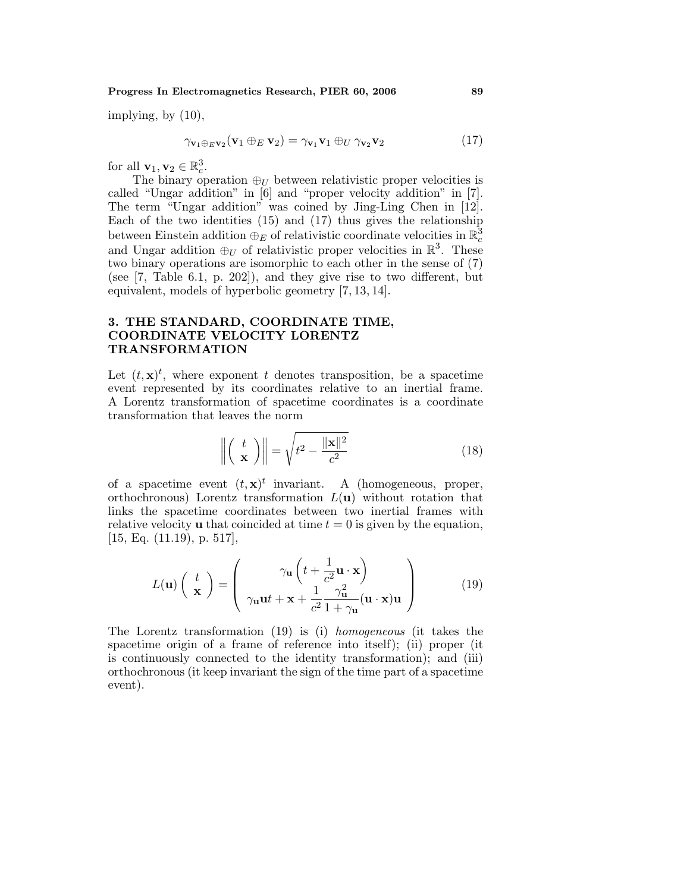#### **Progress In Electromagnetics Research, PIER 60, 2006 89**

implying, by (10),

$$
\gamma_{\mathbf{v}_1 \oplus_E \mathbf{v}_2}(\mathbf{v}_1 \oplus_E \mathbf{v}_2) = \gamma_{\mathbf{v}_1} \mathbf{v}_1 \oplus_U \gamma_{\mathbf{v}_2} \mathbf{v}_2 \tag{17}
$$

for all  $\mathbf{v}_1, \mathbf{v}_2 \in \mathbb{R}_c^3$ .

The binary operation  $\oplus_U$  between relativistic proper velocities is called "Ungar addition" in [6] and "proper velocity addition" in [7]. The term "Ungar addition" was coined by Jing-Ling Chen in [12]. Each of the two identities (15) and (17) thus gives the relationship between Einstein addition  $\oplus_E$  of relativistic coordinate velocities in  $\mathbb{R}^3_c$ and Ungar addition  $\oplus_U$  of relativistic proper velocities in  $\mathbb{R}^3$ . These two binary operations are isomorphic to each other in the sense of (7) (see [7, Table 6.1, p. 202]), and they give rise to two different, but equivalent, models of hyperbolic geometry [7, 13, 14].

# **3. THE STANDARD, COORDINATE TIME, COORDINATE VELOCITY LORENTZ TRANSFORMATION**

Let  $(t, \mathbf{x})^t$ , where exponent t denotes transposition, be a spacetime event represented by its coordinates relative to an inertial frame. A Lorentz transformation of spacetime coordinates is a coordinate transformation that leaves the norm

$$
\left\| \left( \begin{array}{c} t \\ \mathbf{x} \end{array} \right) \right\| = \sqrt{t^2 - \frac{\|\mathbf{x}\|^2}{c^2}} \tag{18}
$$

of a spacetime event  $(t, \mathbf{x})^t$  invariant. A (homogeneous, proper, orthochronous) Lorentz transformation L(**u**) without rotation that links the spacetime coordinates between two inertial frames with relative velocity **u** that coincided at time  $t = 0$  is given by the equation, [15, Eq. (11.19), p. 517],

$$
L(\mathbf{u})\left(\begin{array}{c} t \\ \mathbf{x} \end{array}\right) = \left(\begin{array}{c} \gamma_{\mathbf{u}}\left(t + \frac{1}{c^2}\mathbf{u} \cdot \mathbf{x}\right) \\ \gamma_{\mathbf{u}}\mathbf{u}t + \mathbf{x} + \frac{1}{c^2}\frac{\gamma_{\mathbf{u}}^2}{1 + \gamma_{\mathbf{u}}}(\mathbf{u} \cdot \mathbf{x})\mathbf{u} \end{array}\right) \tag{19}
$$

The Lorentz transformation (19) is (i) homogeneous (it takes the spacetime origin of a frame of reference into itself); (ii) proper (it is continuously connected to the identity transformation); and (iii) orthochronous (it keep invariant the sign of the time part of a spacetime event).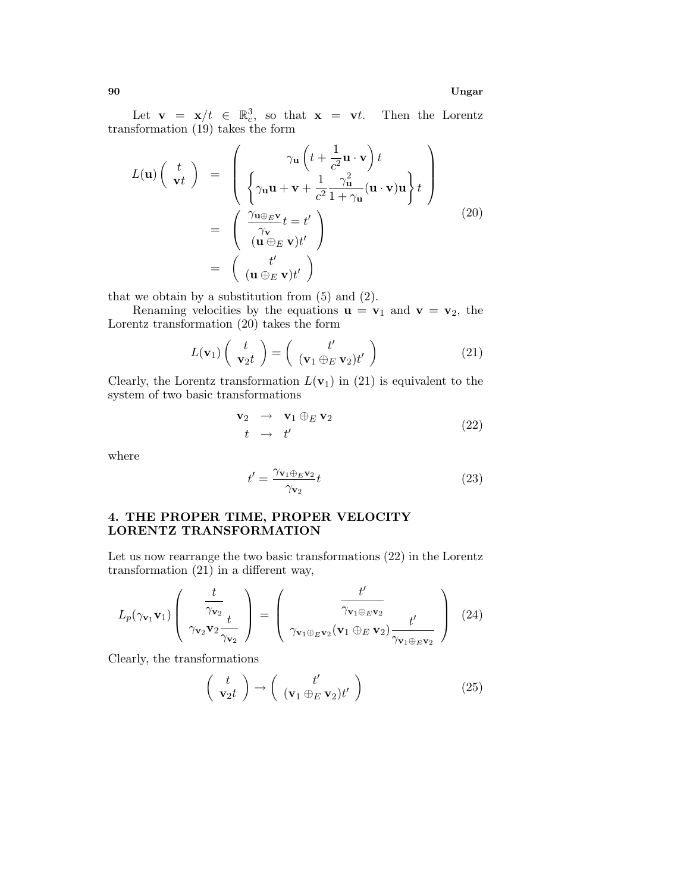**90 Ungar**

Let  $\mathbf{v} = \mathbf{x}/t \in \mathbb{R}_c^3$ , so that  $\mathbf{x} = \mathbf{v}t$ . Then the Lorentz transformation (19) takes the form

$$
L(\mathbf{u})\begin{pmatrix} t \\ \mathbf{v}t \end{pmatrix} = \begin{pmatrix} \gamma_{\mathbf{u}}\left(t + \frac{1}{c^2}\mathbf{u} \cdot \mathbf{v}\right)t \\ \begin{cases} \gamma_{\mathbf{u}}\mathbf{u} + \mathbf{v} + \frac{1}{c^2}\frac{\gamma_{\mathbf{u}}^2}{1 + \gamma_{\mathbf{u}}}(\mathbf{u} \cdot \mathbf{v})\mathbf{u}\end{cases} \begin{cases} t \\ t \end{cases} = \begin{pmatrix} \frac{\gamma_{\mathbf{u}} \oplus_{E} \mathbf{v}}{\gamma_{\mathbf{v}}} t = t' \\ \frac{\gamma_{\mathbf{v}}}{(\mathbf{u} \oplus_{E} \mathbf{v})t'} \end{pmatrix} = \begin{pmatrix} t' \\ (\mathbf{u} \oplus_{E} \mathbf{v})t' \end{pmatrix}
$$
 (20)

that we obtain by a substitution from  $(5)$  and  $(2)$ .

Renaming velocities by the equations  $\mathbf{u} = \mathbf{v}_1$  and  $\mathbf{v} = \mathbf{v}_2$ , the Lorentz transformation (20) takes the form

$$
L(\mathbf{v}_1) \begin{pmatrix} t \\ \mathbf{v}_2 t \end{pmatrix} = \begin{pmatrix} t' \\ (\mathbf{v}_1 \oplus_E \mathbf{v}_2) t' \end{pmatrix}
$$
 (21)

Clearly, the Lorentz transformation  $L(\mathbf{v}_1)$  in (21) is equivalent to the system of two basic transformations

$$
\begin{array}{rcl}\n\mathbf{v}_2 & \to & \mathbf{v}_1 \oplus_E \mathbf{v}_2 \\
t & \to & t'\n\end{array} \tag{22}
$$

where

$$
t' = \frac{\gamma_{\mathbf{v}_1 \oplus_E \mathbf{v}_2}}{\gamma_{\mathbf{v}_2}} t \tag{23}
$$

# **4. THE PROPER TIME, PROPER VELOCITY LORENTZ TRANSFORMATION**

Let us now rearrange the two basic transformations (22) in the Lorentz transformation (21) in a different way,

$$
L_p(\gamma_{\mathbf{v}_1}\mathbf{v}_1) \left( \frac{t}{\gamma_{\mathbf{v}_2} \mathbf{v}_2} \right) = \left( \frac{t'}{\gamma_{\mathbf{v}_1 \oplus_E \mathbf{v}_2}(\mathbf{v}_1 \oplus_E \mathbf{v}_2)} \frac{t'}{\gamma_{\mathbf{v}_1 \oplus_E \mathbf{v}_2}} \right) (24)
$$

Clearly, the transformations

$$
\begin{pmatrix} t \\ \mathbf{v}_2 t \end{pmatrix} \rightarrow \begin{pmatrix} t' \\ (\mathbf{v}_1 \oplus_E \mathbf{v}_2) t' \end{pmatrix}
$$
 (25)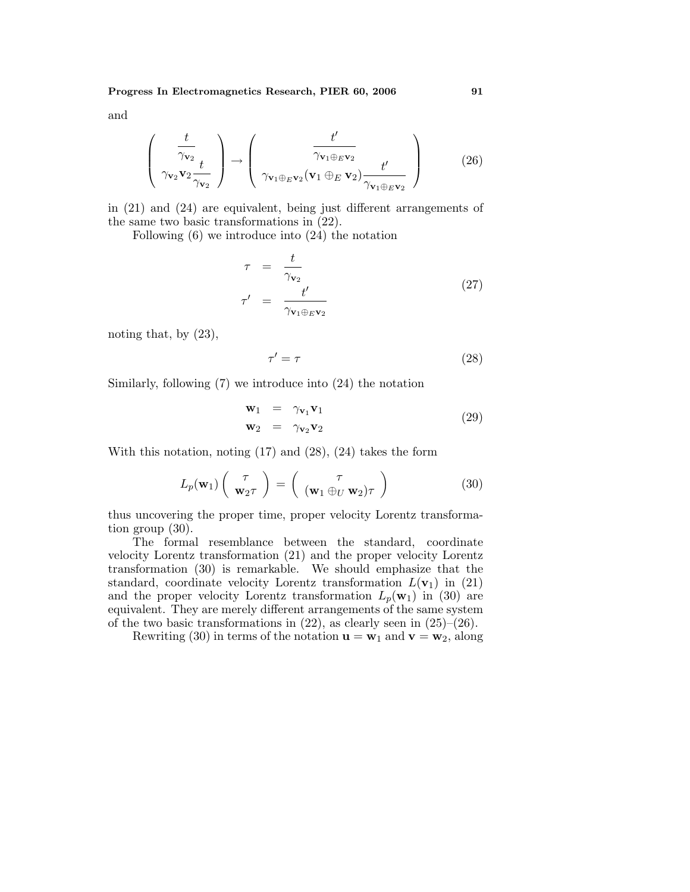and

$$
\begin{pmatrix}\n\frac{t}{\gamma_{\mathbf{v}_2}} \\
\gamma_{\mathbf{v}_2} \mathbf{v}_2\n\end{pmatrix}\n\rightarrow\n\begin{pmatrix}\nt' \\
\gamma_{\mathbf{v}_1 \oplus_E \mathbf{v}_2} \\
\gamma_{\mathbf{v}_1 \oplus_E \mathbf{v}_2} (\mathbf{v}_1 \oplus_E \mathbf{v}_2)\n\end{pmatrix}
$$
\n(26)

in (21) and (24) are equivalent, being just different arrangements of the same two basic transformations in (22).

Following (6) we introduce into (24) the notation

$$
\tau = \frac{t}{\gamma_{\mathbf{v}_2}} \n\tau' = \frac{t'}{\gamma_{\mathbf{v}_1 \oplus_E \mathbf{v}_2}}
$$
\n(27)

noting that, by (23),

$$
\tau' = \tau \tag{28}
$$

Similarly, following (7) we introduce into (24) the notation

$$
\mathbf{w}_1 = \gamma_{\mathbf{v}_1} \mathbf{v}_1 \n\mathbf{w}_2 = \gamma_{\mathbf{v}_2} \mathbf{v}_2
$$
\n(29)

With this notation, noting (17) and (28), (24) takes the form

$$
L_p(\mathbf{w}_1) \begin{pmatrix} \tau \\ \mathbf{w}_2 \tau \end{pmatrix} = \begin{pmatrix} \tau \\ (\mathbf{w}_1 \oplus_U \mathbf{w}_2) \tau \end{pmatrix}
$$
 (30)

thus uncovering the proper time, proper velocity Lorentz transformation group (30).

The formal resemblance between the standard, coordinate velocity Lorentz transformation (21) and the proper velocity Lorentz transformation (30) is remarkable. We should emphasize that the standard, coordinate velocity Lorentz transformation  $L(\mathbf{v}_1)$  in (21) and the proper velocity Lorentz transformation  $L_p(\mathbf{w}_1)$  in (30) are equivalent. They are merely different arrangements of the same system of the two basic transformations in  $(22)$ , as clearly seen in  $(25)$ – $(26)$ .

Rewriting (30) in terms of the notation  $\mathbf{u} = \mathbf{w}_1$  and  $\mathbf{v} = \mathbf{w}_2$ , along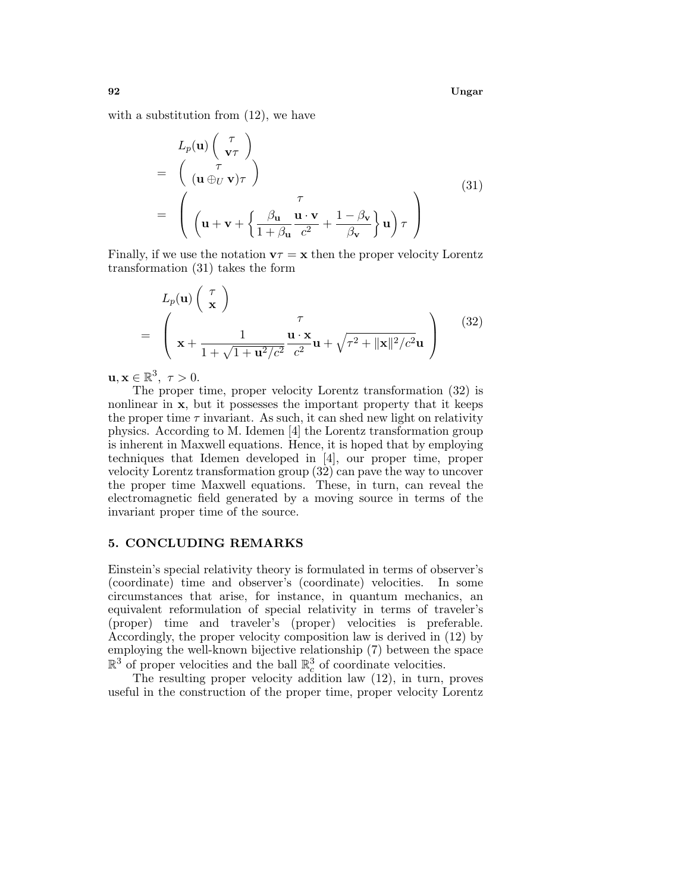**92 Ungar**

with a substitution from  $(12)$ , we have

$$
L_p(\mathbf{u})\begin{pmatrix} \tau \\ \mathbf{v}\tau \end{pmatrix}
$$
  
=  $\begin{pmatrix} \tau \\ (\mathbf{u} \oplus_U \mathbf{v})\tau \end{pmatrix}$   
=  $\begin{pmatrix} \tau \\ (\mathbf{u} + \mathbf{v} + \left\{\frac{\beta_{\mathbf{u}}}{1 + \beta_{\mathbf{u}}} \frac{\mathbf{u} \cdot \mathbf{v}}{c^2} + \frac{1 - \beta_{\mathbf{v}}}{\beta_{\mathbf{v}}} \right\} \mathbf{u} \end{pmatrix} \tau$  (31)

Finally, if we use the notation  $\mathbf{v}\tau = \mathbf{x}$  then the proper velocity Lorentz transformation (31) takes the form

$$
L_p(\mathbf{u})\left(\begin{array}{c}\tau\\\mathbf{x}\end{array}\right)
$$
  
= 
$$
\left(\begin{array}{c}\tau\\\mathbf{x} + \frac{1}{1 + \sqrt{1 + \mathbf{u}^2/c^2}}\frac{\mathbf{u} \cdot \mathbf{x}}{c^2}\mathbf{u} + \sqrt{\tau^2 + ||\mathbf{x}||^2/c^2}\mathbf{u}\end{array}\right)
$$
(32)

 $\mathbf{u}, \mathbf{x} \in \mathbb{R}^3$ ,  $\tau > 0$ .

The proper time, proper velocity Lorentz transformation (32) is nonlinear in **x**, but it possesses the important property that it keeps the proper time  $\tau$  invariant. As such, it can shed new light on relativity physics. According to M. Idemen [4] the Lorentz transformation group is inherent in Maxwell equations. Hence, it is hoped that by employing techniques that Idemen developed in [4], our proper time, proper velocity Lorentz transformation group (32) can pave the way to uncover the proper time Maxwell equations. These, in turn, can reveal the electromagnetic field generated by a moving source in terms of the invariant proper time of the source.

#### **5. CONCLUDING REMARKS**

Einstein's special relativity theory is formulated in terms of observer's (coordinate) time and observer's (coordinate) velocities. In some circumstances that arise, for instance, in quantum mechanics, an equivalent reformulation of special relativity in terms of traveler's (proper) time and traveler's (proper) velocities is preferable. Accordingly, the proper velocity composition law is derived in (12) by employing the well-known bijective relationship (7) between the space  $\mathbb{R}^3$  of proper velocities and the ball  $\mathbb{R}^3_c$  of coordinate velocities.

The resulting proper velocity addition law (12), in turn, proves useful in the construction of the proper time, proper velocity Lorentz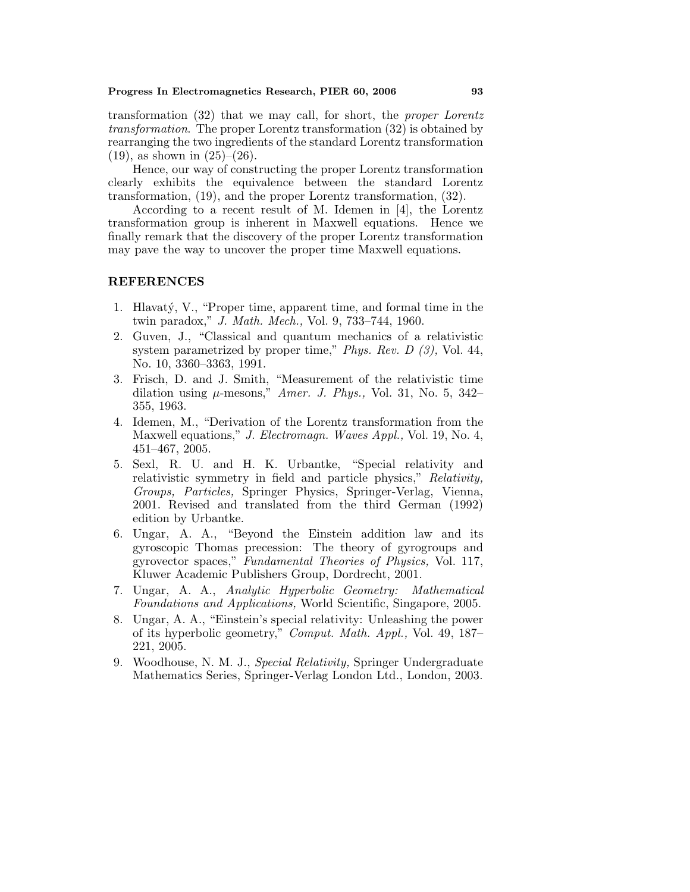transformation (32) that we may call, for short, the proper Lorentz transformation. The proper Lorentz transformation (32) is obtained by rearranging the two ingredients of the standard Lorentz transformation  $(19)$ , as shown in  $(25)-(26)$ .

Hence, our way of constructing the proper Lorentz transformation clearly exhibits the equivalence between the standard Lorentz transformation, (19), and the proper Lorentz transformation, (32).

According to a recent result of M. Idemen in [4], the Lorentz transformation group is inherent in Maxwell equations. Hence we finally remark that the discovery of the proper Lorentz transformation may pave the way to uncover the proper time Maxwell equations.

#### **REFERENCES**

- 1. Hlavatý, V., "Proper time, apparent time, and formal time in the twin paradox," J. Math. Mech., Vol. 9, 733–744, 1960.
- 2. Guven, J., "Classical and quantum mechanics of a relativistic system parametrized by proper time," Phys. Rev. D (3), Vol. 44, No. 10, 3360–3363, 1991.
- 3. Frisch, D. and J. Smith, "Measurement of the relativistic time dilation using  $\mu$ -mesons," Amer. J. Phys., Vol. 31, No. 5, 342– 355, 1963.
- 4. Idemen, M., "Derivation of the Lorentz transformation from the Maxwell equations," J. Electromagn. Waves Appl., Vol. 19, No. 4, 451–467, 2005.
- 5. Sexl, R. U. and H. K. Urbantke, "Special relativity and relativistic symmetry in field and particle physics," Relativity, Groups, Particles, Springer Physics, Springer-Verlag, Vienna, 2001. Revised and translated from the third German (1992) edition by Urbantke.
- 6. Ungar, A. A., "Beyond the Einstein addition law and its gyroscopic Thomas precession: The theory of gyrogroups and gyrovector spaces," Fundamental Theories of Physics, Vol. 117, Kluwer Academic Publishers Group, Dordrecht, 2001.
- 7. Ungar, A. A., Analytic Hyperbolic Geometry: Mathematical Foundations and Applications, World Scientific, Singapore, 2005.
- 8. Ungar, A. A., "Einstein's special relativity: Unleashing the power of its hyperbolic geometry," Comput. Math. Appl., Vol. 49, 187– 221, 2005.
- 9. Woodhouse, N. M. J., Special Relativity, Springer Undergraduate Mathematics Series, Springer-Verlag London Ltd., London, 2003.